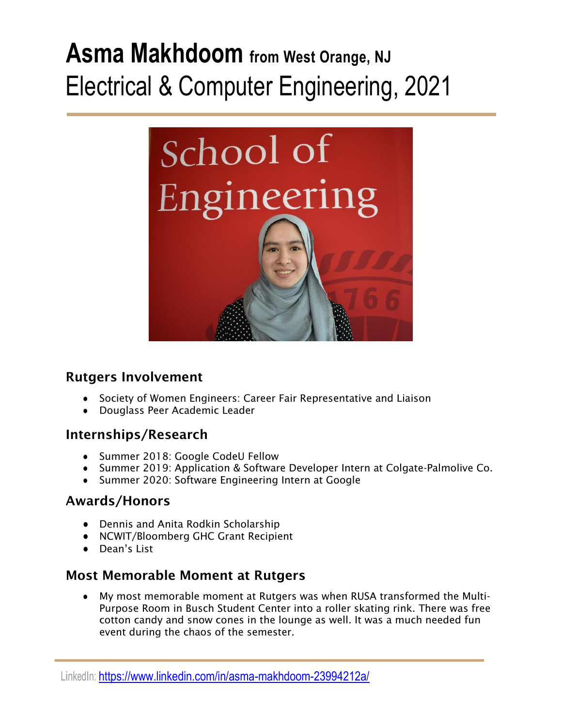# **Asma Makhdoom from West Orange, NJ** Electrical & Computer Engineering, 2021



# Rutgers Involvement

- Society of Women Engineers: Career Fair Representative and Liaison
- Douglass Peer Academic Leader

# Internships/Research

- Summer 2018: Google CodeU Fellow
- Summer 2019: Application & Software Developer Intern at Colgate-Palmolive Co.
- Summer 2020: Software Engineering Intern at Google

### Awards/Honors

- Dennis and Anita Rodkin Scholarship
- NCWIT/Bloomberg GHC Grant Recipient
- Dean's List

# Most Memorable Moment at Rutgers

● My most memorable moment at Rutgers was when RUSA transformed the Multi-Purpose Room in Busch Student Center into a roller skating rink. There was free cotton candy and snow cones in the lounge as well. It was a much needed fun event during the chaos of the semester.

LinkedIn: <https://www.linkedin.com/in/asma-makhdoom-23994212a/>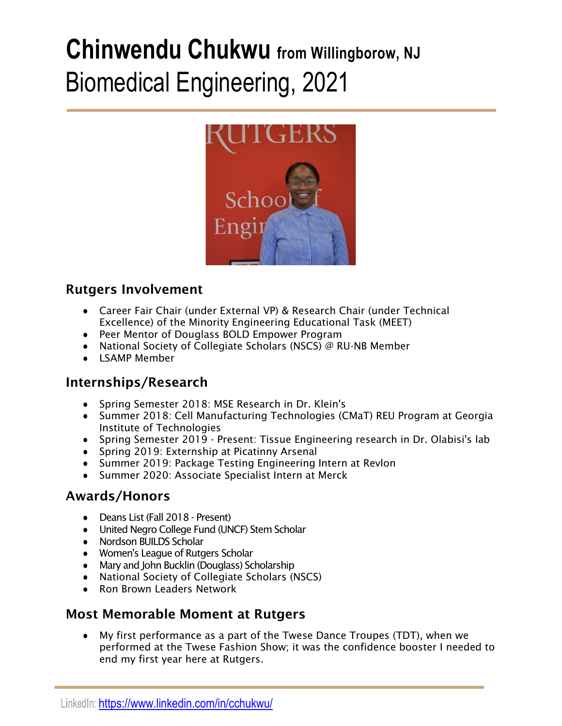# **Chinwendu Chukwu from Willingborow, NJ** Biomedical Engineering, 2021



# Rutgers Involvement

- Career Fair Chair (under External VP) & Research Chair (under Technical Excellence) of the Minority Engineering Educational Task (MEET)
- Peer Mentor of Douglass BOLD Empower Program
- National Society of Collegiate Scholars (NSCS) @ RU-NB Member
- LSAMP Member

# Internships/Research

- Spring Semester 2018: MSE Research in Dr. Klein's
- Summer 2018: Cell Manufacturing Technologies (CMaT) REU Program at Georgia Institute of Technologies
- Spring Semester 2019 Present: Tissue Engineering research in Dr. Olabisi's lab
- Spring 2019: Externship at Picatinny Arsenal
- Summer 2019: Package Testing Engineering Intern at Revlon
- Summer 2020: Associate Specialist Intern at Merck

# Awards/Honors

- Deans List (Fall 2018 Present)
- United Negro College Fund (UNCF) Stem Scholar
- Nordson BUILDS Scholar
- Women's League of Rutgers Scholar
- Mary and John Bucklin (Douglass) Scholarship
- National Society of Collegiate Scholars (NSCS)
- Ron Brown Leaders Network

### Most Memorable Moment at Rutgers

● My first performance as a part of the Twese Dance Troupes (TDT), when we performed at the Twese Fashion Show; it was the confidence booster I needed to end my first year here at Rutgers.

LinkedIn: <https://www.linkedin.com/in/cchukwu/>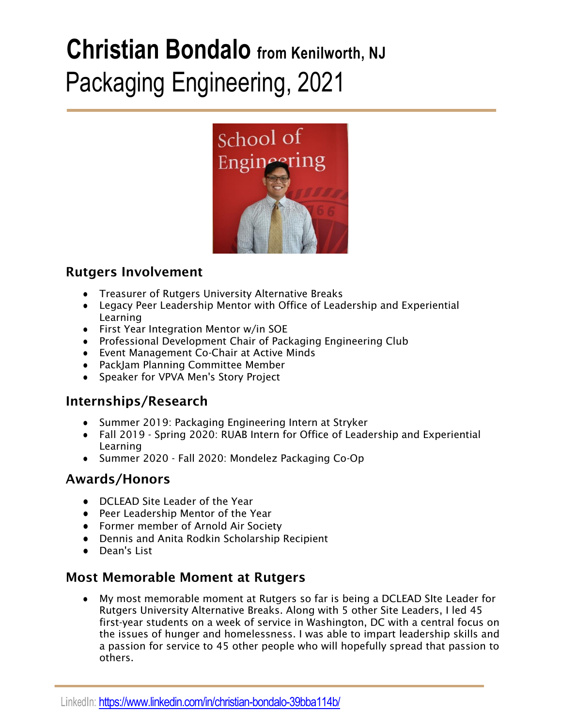# **Christian Bondalo from Kenilworth, NJ** Packaging Engineering, 2021



# Rutgers Involvement

- Treasurer of Rutgers University Alternative Breaks
- Legacy Peer Leadership Mentor with Office of Leadership and Experiential Learning
- First Year Integration Mentor w/in SOE
- Professional Development Chair of Packaging Engineering Club
- Event Management Co-Chair at Active Minds
- PackJam Planning Committee Member
- Speaker for VPVA Men's Story Project

### Internships/Research

- Summer 2019: Packaging Engineering Intern at Stryker
- Fall 2019 Spring 2020: RUAB Intern for Office of Leadership and Experiential Learning
- Summer 2020 Fall 2020: Mondelez Packaging Co-Op

### Awards/Honors

- DCLEAD Site Leader of the Year
- Peer Leadership Mentor of the Year
- Former member of Arnold Air Society
- Dennis and Anita Rodkin Scholarship Recipient
- Dean's List

### Most Memorable Moment at Rutgers

● My most memorable moment at Rutgers so far is being a DCLEAD SIte Leader for Rutgers University Alternative Breaks. Along with 5 other Site Leaders, I led 45 first-year students on a week of service in Washington, DC with a central focus on the issues of hunger and homelessness. I was able to impart leadership skills and a passion for service to 45 other people who will hopefully spread that passion to others.

LinkedIn: <https://www.linkedin.com/in/christian-bondalo-39bba114b/>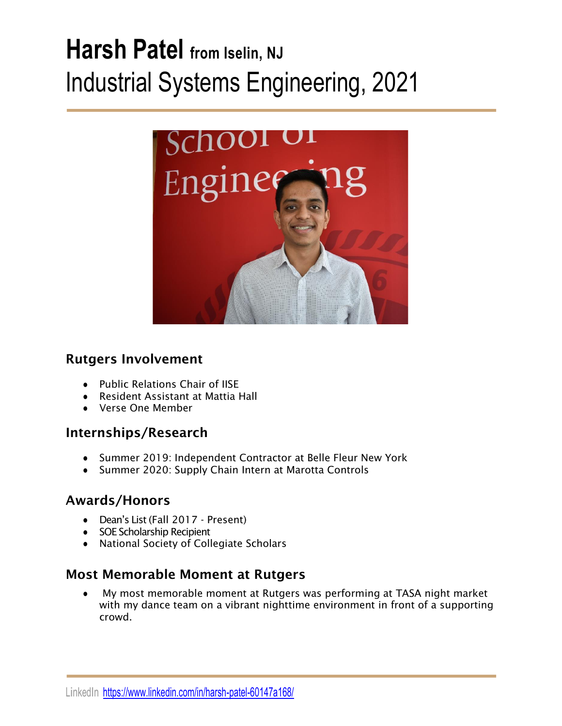# **Harsh Patel from Iselin, NJ** Industrial Systems Engineering, 2021



# Rutgers Involvement

- Public Relations Chair of IISE
- Resident Assistant at Mattia Hall
- Verse One Member

# Internships/Research

- Summer 2019: Independent Contractor at Belle Fleur New York
- Summer 2020: Supply Chain Intern at Marotta Controls

# Awards/Honors

- Dean's List (Fall 2017 Present)
- SOE Scholarship Recipient
- National Society of Collegiate Scholars

# Most Memorable Moment at Rutgers

My most memorable moment at Rutgers was performing at TASA night market with my dance team on a vibrant nighttime environment in front of a supporting crowd.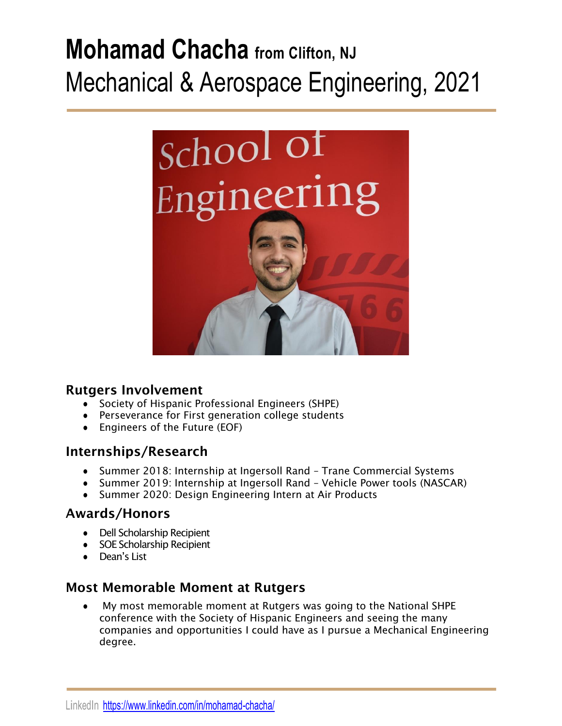# **Mohamad Chacha from Clifton, NJ** Mechanical & Aerospace Engineering, 2021



### Rutgers Involvement

- Society of Hispanic Professional Engineers (SHPE)
- Perseverance for First generation college students
- Engineers of the Future (EOF)

# Internships/Research

- Summer 2018: Internship at Ingersoll Rand Trane Commercial Systems
- Summer 2019: Internship at Ingersoll Rand Vehicle Power tools (NASCAR)
- Summer 2020: Design Engineering Intern at Air Products

# Awards/Honors

- Dell Scholarship Recipient
- SOE Scholarship Recipient
- Dean's List

# Most Memorable Moment at Rutgers

My most memorable moment at Rutgers was going to the National SHPE conference with the Society of Hispanic Engineers and seeing the many companies and opportunities I could have as I pursue a Mechanical Engineering degree.